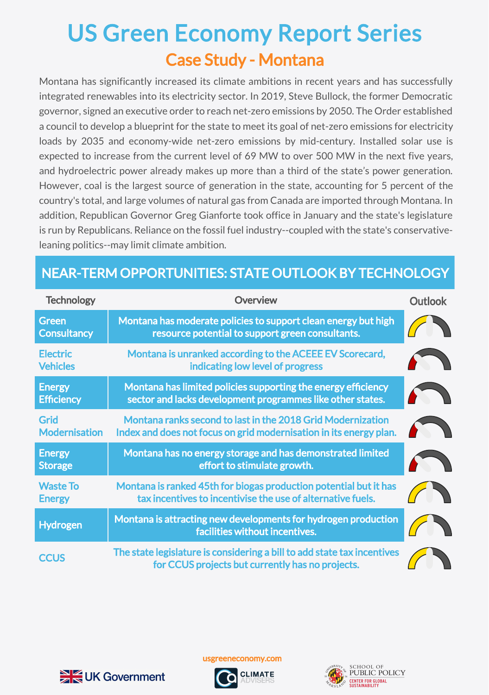## Case Study - Montana US Green Economy Report Series

Montana has significantly increased its climate ambitions in recent years and has successfully integrated renewables into its electricity sector. In 2019, Steve Bullock, the former Democratic governor, signed an executive order to reach net-zero emissions by 2050. The Order established a council to develop a blueprint for the state to meet its goal of net-zero emissions for electricity loads by 2035 and economy-wide net-zero emissions by mid-century. Installed solar use is expected to increase from the current level of 69 MW to over 500 MW in the next five years, and hydroelectric power already makes up more than a third of the state's power generation. However, coal is the largest source of generation in the state, accounting for 5 percent of the country's total, and large volumes of natural gas from Canada are imported through Montana. In addition, Republican Governor Greg Gianforte took office in January and the state's legislature is run by Republicans. Reliance on the fossil fuel industry--coupled with the state's conservativeleaning politics--may limit climate ambition.

## NEAR-TERM OPPORTUNITIES: STATE OUTLOOK BY TECHNOLOGY

| <b>Technology</b>                   | <b>Overview</b>                                                                                                                   | <b>Outlook</b> |
|-------------------------------------|-----------------------------------------------------------------------------------------------------------------------------------|----------------|
| <b>Green</b><br><b>Consultancy</b>  | Montana has moderate policies to support clean energy but high<br>resource potential to support green consultants.                |                |
| <b>Electric</b><br><b>Vehicles</b>  | Montana is unranked according to the ACEEE EV Scorecard,<br>indicating low level of progress                                      |                |
| <b>Energy</b><br><b>Efficiency</b>  | Montana has limited policies supporting the energy efficiency<br>sector and lacks development programmes like other states.       |                |
| <b>Grid</b><br><b>Modernisation</b> | Montana ranks second to last in the 2018 Grid Modernization<br>Index and does not focus on grid modernisation in its energy plan. |                |
| <b>Energy</b><br><b>Storage</b>     | Montana has no energy storage and has demonstrated limited<br>effort to stimulate growth.                                         |                |
| <b>Waste To</b><br><b>Energy</b>    | Montana is ranked 45th for biogas production potential but it has<br>tax incentives to incentivise the use of alternative fuels.  |                |
| <b>Hydrogen</b>                     | Montana is attracting new developments for hydrogen production<br>facilities without incentives.                                  |                |
| <b>CCUS</b>                         | The state legislature is considering a bill to add state tax incentives<br>for CCUS projects but currently has no projects.       |                |



usgreeneconomy.com